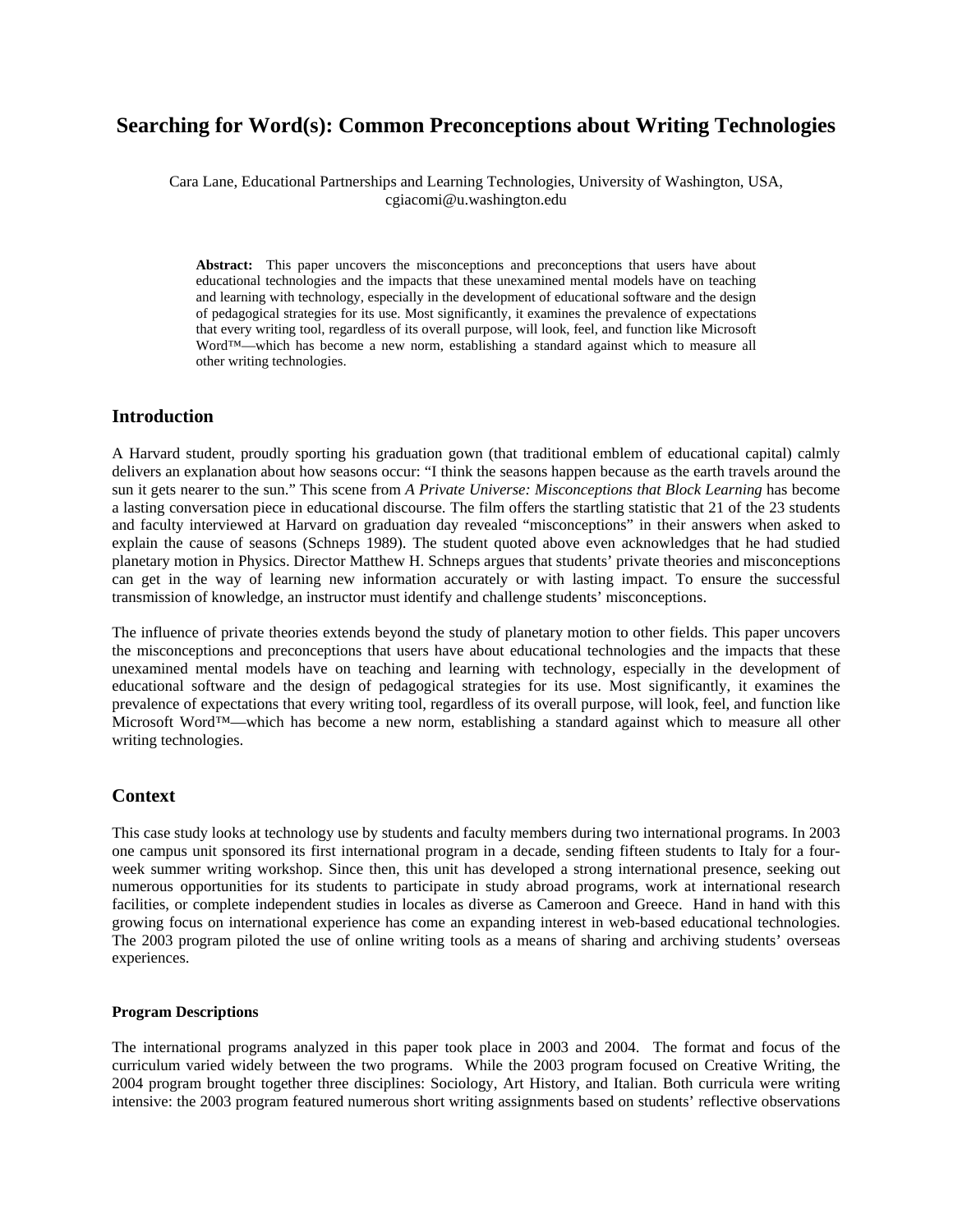# **Searching for Word(s): Common Preconceptions about Writing Technologies**

Cara Lane, Educational Partnerships and Learning Technologies, University of Washington, USA, cgiacomi@u.washington.edu

**Abstract:** This paper uncovers the misconceptions and preconceptions that users have about educational technologies and the impacts that these unexamined mental models have on teaching and learning with technology, especially in the development of educational software and the design of pedagogical strategies for its use. Most significantly, it examines the prevalence of expectations that every writing tool, regardless of its overall purpose, will look, feel, and function like Microsoft Word™—which has become a new norm, establishing a standard against which to measure all other writing technologies.

#### **Introduction**

A Harvard student, proudly sporting his graduation gown (that traditional emblem of educational capital) calmly delivers an explanation about how seasons occur: "I think the seasons happen because as the earth travels around the sun it gets nearer to the sun." This scene from *A Private Universe: Misconceptions that Block Learning* has become a lasting conversation piece in educational discourse. The film offers the startling statistic that 21 of the 23 students and faculty interviewed at Harvard on graduation day revealed "misconceptions" in their answers when asked to explain the cause of seasons (Schneps 1989). The student quoted above even acknowledges that he had studied planetary motion in Physics. Director Matthew H. Schneps argues that students' private theories and misconceptions can get in the way of learning new information accurately or with lasting impact. To ensure the successful transmission of knowledge, an instructor must identify and challenge students' misconceptions.

The influence of private theories extends beyond the study of planetary motion to other fields. This paper uncovers the misconceptions and preconceptions that users have about educational technologies and the impacts that these unexamined mental models have on teaching and learning with technology, especially in the development of educational software and the design of pedagogical strategies for its use. Most significantly, it examines the prevalence of expectations that every writing tool, regardless of its overall purpose, will look, feel, and function like Microsoft Word™—which has become a new norm, establishing a standard against which to measure all other writing technologies.

### **Context**

This case study looks at technology use by students and faculty members during two international programs. In 2003 one campus unit sponsored its first international program in a decade, sending fifteen students to Italy for a fourweek summer writing workshop. Since then, this unit has developed a strong international presence, seeking out numerous opportunities for its students to participate in study abroad programs, work at international research facilities, or complete independent studies in locales as diverse as Cameroon and Greece. Hand in hand with this growing focus on international experience has come an expanding interest in web-based educational technologies. The 2003 program piloted the use of online writing tools as a means of sharing and archiving students' overseas experiences.

#### **Program Descriptions**

The international programs analyzed in this paper took place in 2003 and 2004. The format and focus of the curriculum varied widely between the two programs. While the 2003 program focused on Creative Writing, the 2004 program brought together three disciplines: Sociology, Art History, and Italian. Both curricula were writing intensive: the 2003 program featured numerous short writing assignments based on students' reflective observations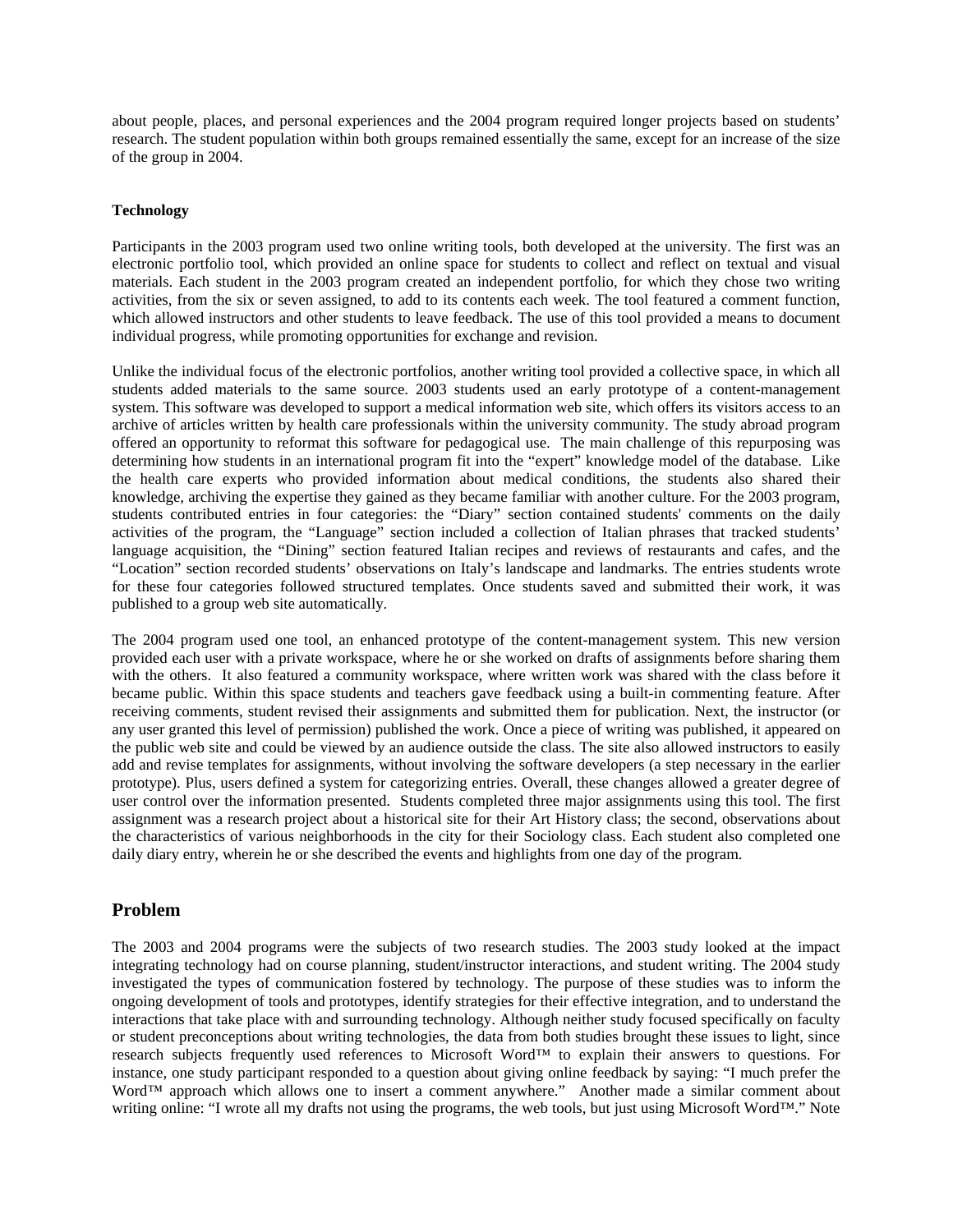about people, places, and personal experiences and the 2004 program required longer projects based on students' research. The student population within both groups remained essentially the same, except for an increase of the size of the group in 2004.

#### **Technology**

Participants in the 2003 program used two online writing tools, both developed at the university. The first was an electronic portfolio tool, which provided an online space for students to collect and reflect on textual and visual materials. Each student in the 2003 program created an independent portfolio, for which they chose two writing activities, from the six or seven assigned, to add to its contents each week. The tool featured a comment function, which allowed instructors and other students to leave feedback. The use of this tool provided a means to document individual progress, while promoting opportunities for exchange and revision.

Unlike the individual focus of the electronic portfolios, another writing tool provided a collective space, in which all students added materials to the same source. 2003 students used an early prototype of a content-management system. This software was developed to support a medical information web site, which offers its visitors access to an archive of articles written by health care professionals within the university community. The study abroad program offered an opportunity to reformat this software for pedagogical use. The main challenge of this repurposing was determining how students in an international program fit into the "expert" knowledge model of the database. Like the health care experts who provided information about medical conditions, the students also shared their knowledge, archiving the expertise they gained as they became familiar with another culture. For the 2003 program, students contributed entries in four categories: the "Diary" section contained students' comments on the daily activities of the program, the "Language" section included a collection of Italian phrases that tracked students' language acquisition, the "Dining" section featured Italian recipes and reviews of restaurants and cafes, and the "Location" section recorded students' observations on Italy's landscape and landmarks. The entries students wrote for these four categories followed structured templates. Once students saved and submitted their work, it was published to a group web site automatically.

The 2004 program used one tool, an enhanced prototype of the content-management system. This new version provided each user with a private workspace, where he or she worked on drafts of assignments before sharing them with the others. It also featured a community workspace, where written work was shared with the class before it became public. Within this space students and teachers gave feedback using a built-in commenting feature. After receiving comments, student revised their assignments and submitted them for publication. Next, the instructor (or any user granted this level of permission) published the work. Once a piece of writing was published, it appeared on the public web site and could be viewed by an audience outside the class. The site also allowed instructors to easily add and revise templates for assignments, without involving the software developers (a step necessary in the earlier prototype). Plus, users defined a system for categorizing entries. Overall, these changes allowed a greater degree of user control over the information presented. Students completed three major assignments using this tool. The first assignment was a research project about a historical site for their Art History class; the second, observations about the characteristics of various neighborhoods in the city for their Sociology class. Each student also completed one daily diary entry, wherein he or she described the events and highlights from one day of the program.

### **Problem**

The 2003 and 2004 programs were the subjects of two research studies. The 2003 study looked at the impact integrating technology had on course planning, student/instructor interactions, and student writing. The 2004 study investigated the types of communication fostered by technology. The purpose of these studies was to inform the ongoing development of tools and prototypes, identify strategies for their effective integration, and to understand the interactions that take place with and surrounding technology. Although neither study focused specifically on faculty or student preconceptions about writing technologies, the data from both studies brought these issues to light, since research subjects frequently used references to Microsoft Word™ to explain their answers to questions. For instance, one study participant responded to a question about giving online feedback by saying: "I much prefer the Word™ approach which allows one to insert a comment anywhere." Another made a similar comment about writing online: "I wrote all my drafts not using the programs, the web tools, but just using Microsoft Word™." Note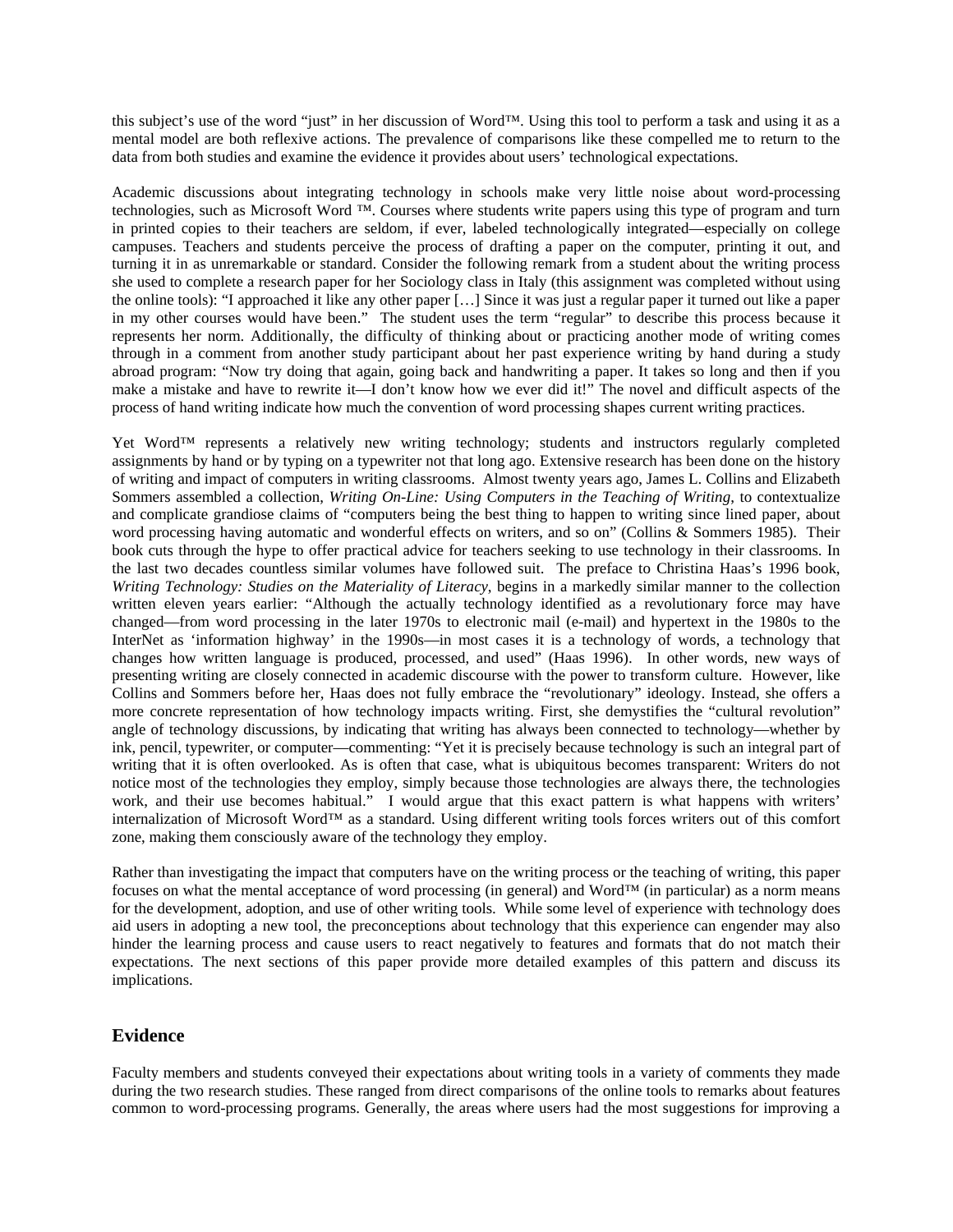this subject's use of the word "just" in her discussion of Word™. Using this tool to perform a task and using it as a mental model are both reflexive actions. The prevalence of comparisons like these compelled me to return to the data from both studies and examine the evidence it provides about users' technological expectations.

Academic discussions about integrating technology in schools make very little noise about word-processing technologies, such as Microsoft Word ™. Courses where students write papers using this type of program and turn in printed copies to their teachers are seldom, if ever, labeled technologically integrated—especially on college campuses. Teachers and students perceive the process of drafting a paper on the computer, printing it out, and turning it in as unremarkable or standard. Consider the following remark from a student about the writing process she used to complete a research paper for her Sociology class in Italy (this assignment was completed without using the online tools): "I approached it like any other paper […] Since it was just a regular paper it turned out like a paper in my other courses would have been." The student uses the term "regular" to describe this process because it represents her norm. Additionally, the difficulty of thinking about or practicing another mode of writing comes through in a comment from another study participant about her past experience writing by hand during a study abroad program: "Now try doing that again, going back and handwriting a paper. It takes so long and then if you make a mistake and have to rewrite it—I don't know how we ever did it!" The novel and difficult aspects of the process of hand writing indicate how much the convention of word processing shapes current writing practices.

Yet Word™ represents a relatively new writing technology; students and instructors regularly completed assignments by hand or by typing on a typewriter not that long ago. Extensive research has been done on the history of writing and impact of computers in writing classrooms. Almost twenty years ago, James L. Collins and Elizabeth Sommers assembled a collection, *Writing On-Line: Using Computers in the Teaching of Writing*, to contextualize and complicate grandiose claims of "computers being the best thing to happen to writing since lined paper, about word processing having automatic and wonderful effects on writers, and so on" (Collins & Sommers 1985). Their book cuts through the hype to offer practical advice for teachers seeking to use technology in their classrooms. In the last two decades countless similar volumes have followed suit. The preface to Christina Haas's 1996 book, *Writing Technology: Studies on the Materiality of Literacy*, begins in a markedly similar manner to the collection written eleven years earlier: "Although the actually technology identified as a revolutionary force may have changed—from word processing in the later 1970s to electronic mail (e-mail) and hypertext in the 1980s to the InterNet as 'information highway' in the 1990s—in most cases it is a technology of words, a technology that changes how written language is produced, processed, and used" (Haas 1996). In other words, new ways of presenting writing are closely connected in academic discourse with the power to transform culture. However, like Collins and Sommers before her, Haas does not fully embrace the "revolutionary" ideology. Instead, she offers a more concrete representation of how technology impacts writing. First, she demystifies the "cultural revolution" angle of technology discussions, by indicating that writing has always been connected to technology—whether by ink, pencil, typewriter, or computer—commenting: "Yet it is precisely because technology is such an integral part of writing that it is often overlooked. As is often that case, what is ubiquitous becomes transparent: Writers do not notice most of the technologies they employ, simply because those technologies are always there, the technologies work, and their use becomes habitual." I would argue that this exact pattern is what happens with writers' internalization of Microsoft Word™ as a standard. Using different writing tools forces writers out of this comfort zone, making them consciously aware of the technology they employ.

Rather than investigating the impact that computers have on the writing process or the teaching of writing, this paper focuses on what the mental acceptance of word processing (in general) and Word™ (in particular) as a norm means for the development, adoption, and use of other writing tools. While some level of experience with technology does aid users in adopting a new tool, the preconceptions about technology that this experience can engender may also hinder the learning process and cause users to react negatively to features and formats that do not match their expectations. The next sections of this paper provide more detailed examples of this pattern and discuss its implications.

### **Evidence**

Faculty members and students conveyed their expectations about writing tools in a variety of comments they made during the two research studies. These ranged from direct comparisons of the online tools to remarks about features common to word-processing programs. Generally, the areas where users had the most suggestions for improving a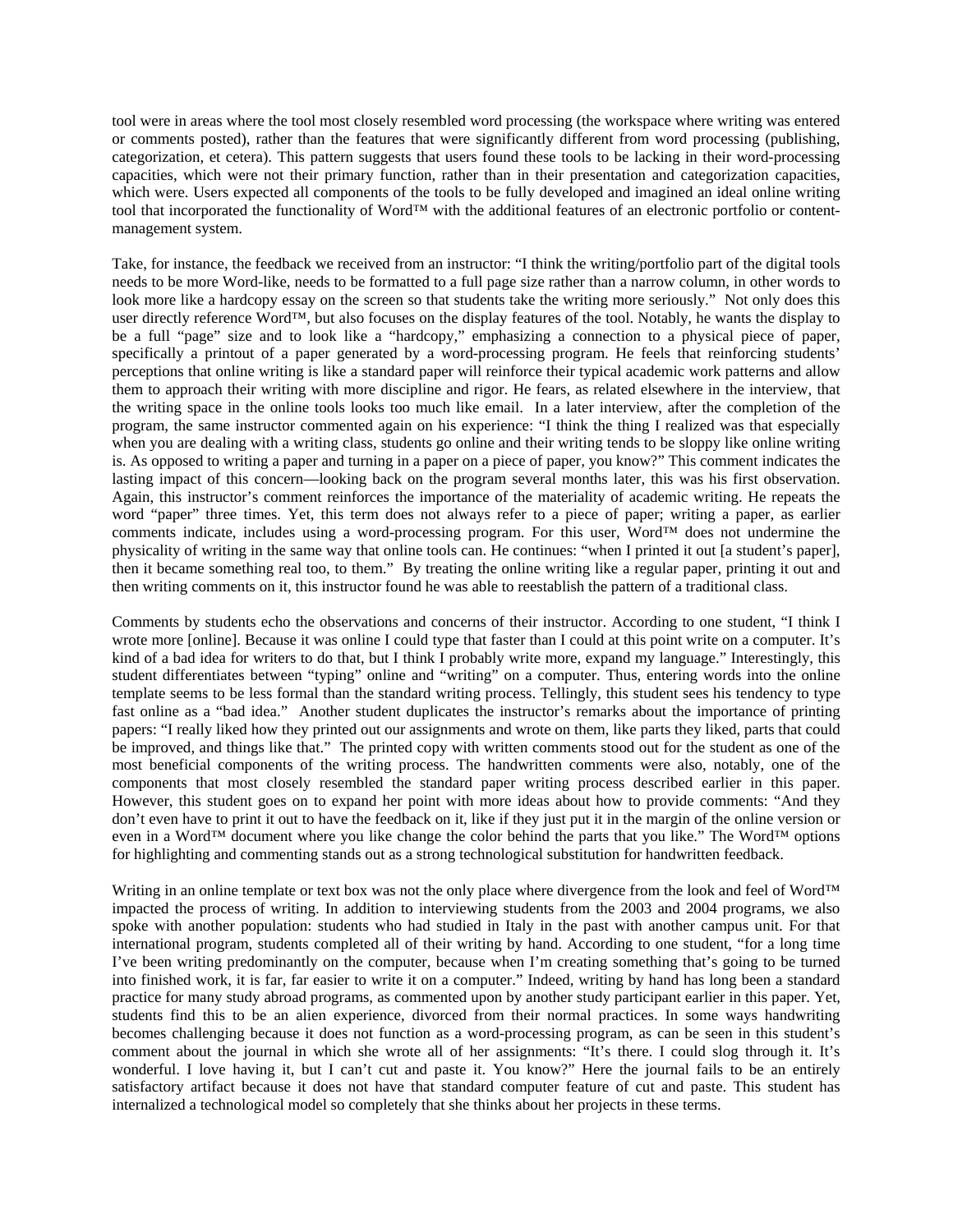tool were in areas where the tool most closely resembled word processing (the workspace where writing was entered or comments posted), rather than the features that were significantly different from word processing (publishing, categorization, et cetera). This pattern suggests that users found these tools to be lacking in their word-processing capacities, which were not their primary function, rather than in their presentation and categorization capacities, which were. Users expected all components of the tools to be fully developed and imagined an ideal online writing tool that incorporated the functionality of Word™ with the additional features of an electronic portfolio or contentmanagement system.

Take, for instance, the feedback we received from an instructor: "I think the writing/portfolio part of the digital tools needs to be more Word-like, needs to be formatted to a full page size rather than a narrow column, in other words to look more like a hardcopy essay on the screen so that students take the writing more seriously." Not only does this user directly reference Word™, but also focuses on the display features of the tool. Notably, he wants the display to be a full "page" size and to look like a "hardcopy," emphasizing a connection to a physical piece of paper, specifically a printout of a paper generated by a word-processing program. He feels that reinforcing students' perceptions that online writing is like a standard paper will reinforce their typical academic work patterns and allow them to approach their writing with more discipline and rigor. He fears, as related elsewhere in the interview, that the writing space in the online tools looks too much like email. In a later interview, after the completion of the program, the same instructor commented again on his experience: "I think the thing I realized was that especially when you are dealing with a writing class, students go online and their writing tends to be sloppy like online writing is. As opposed to writing a paper and turning in a paper on a piece of paper*,* you know?" This comment indicates the lasting impact of this concern—looking back on the program several months later, this was his first observation. Again, this instructor's comment reinforces the importance of the materiality of academic writing. He repeats the word "paper" three times. Yet, this term does not always refer to a piece of paper; writing a paper, as earlier comments indicate, includes using a word-processing program. For this user, Word™ does not undermine the physicality of writing in the same way that online tools can. He continues: "when I printed it out [a student's paper], then it became something real too, to them." By treating the online writing like a regular paper, printing it out and then writing comments on it, this instructor found he was able to reestablish the pattern of a traditional class.

Comments by students echo the observations and concerns of their instructor. According to one student, "I think I wrote more [online]. Because it was online I could type that faster than I could at this point write on a computer. It's kind of a bad idea for writers to do that, but I think I probably write more, expand my language." Interestingly, this student differentiates between "typing" online and "writing" on a computer. Thus, entering words into the online template seems to be less formal than the standard writing process. Tellingly, this student sees his tendency to type fast online as a "bad idea." Another student duplicates the instructor's remarks about the importance of printing papers: "I really liked how they printed out our assignments and wrote on them, like parts they liked, parts that could be improved, and things like that." The printed copy with written comments stood out for the student as one of the most beneficial components of the writing process. The handwritten comments were also, notably, one of the components that most closely resembled the standard paper writing process described earlier in this paper. However, this student goes on to expand her point with more ideas about how to provide comments: "And they don't even have to print it out to have the feedback on it, like if they just put it in the margin of the online version or even in a Word™ document where you like change the color behind the parts that you like." The Word™ options for highlighting and commenting stands out as a strong technological substitution for handwritten feedback.

Writing in an online template or text box was not the only place where divergence from the look and feel of Word™ impacted the process of writing. In addition to interviewing students from the 2003 and 2004 programs, we also spoke with another population: students who had studied in Italy in the past with another campus unit. For that international program, students completed all of their writing by hand. According to one student, "for a long time I've been writing predominantly on the computer, because when I'm creating something that's going to be turned into finished work, it is far, far easier to write it on a computer." Indeed, writing by hand has long been a standard practice for many study abroad programs, as commented upon by another study participant earlier in this paper. Yet, students find this to be an alien experience, divorced from their normal practices. In some ways handwriting becomes challenging because it does not function as a word-processing program, as can be seen in this student's comment about the journal in which she wrote all of her assignments: "It's there. I could slog through it. It's wonderful. I love having it, but I can't cut and paste it. You know?" Here the journal fails to be an entirely satisfactory artifact because it does not have that standard computer feature of cut and paste. This student has internalized a technological model so completely that she thinks about her projects in these terms.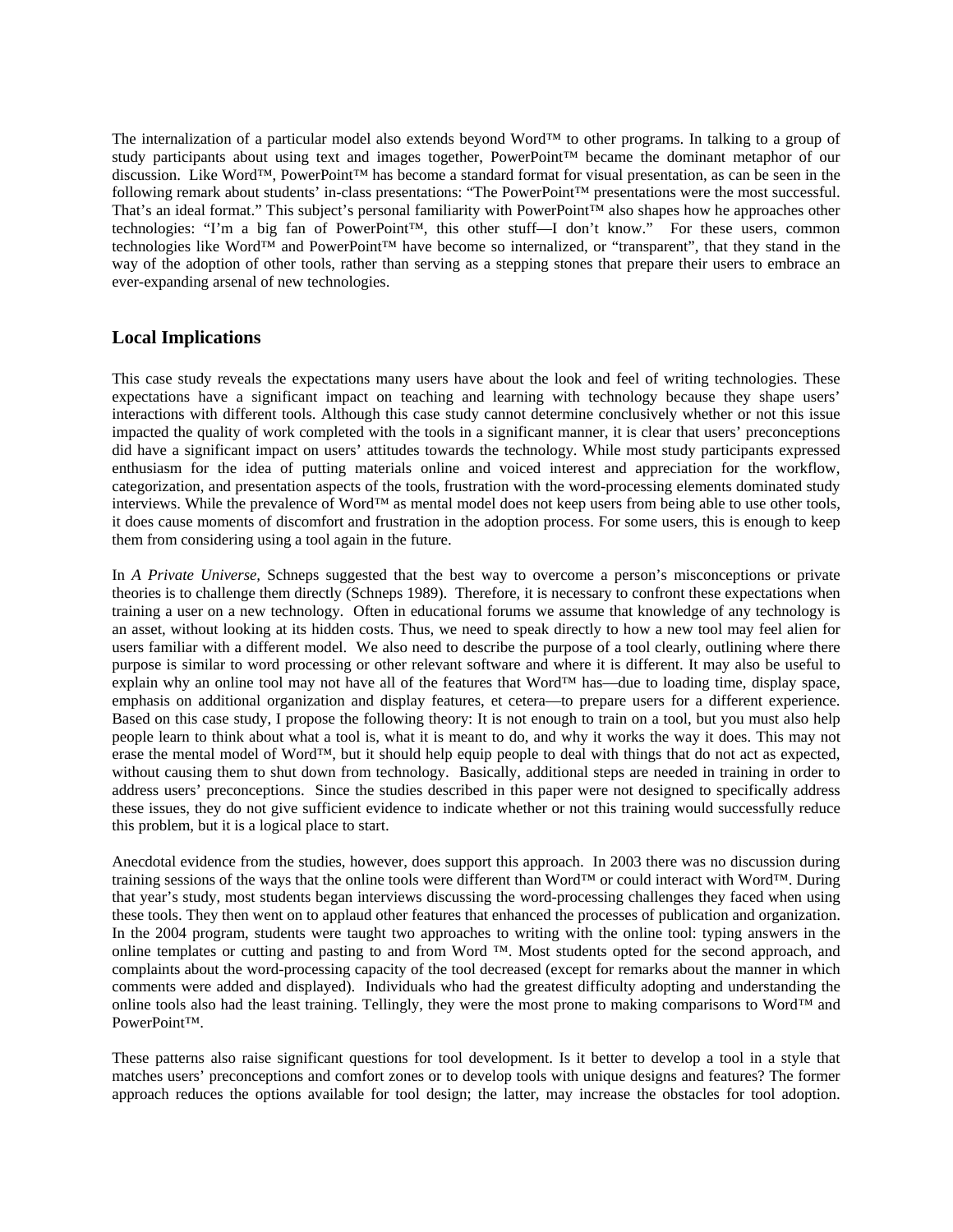The internalization of a particular model also extends beyond Word™ to other programs. In talking to a group of study participants about using text and images together, PowerPoint™ became the dominant metaphor of our discussion. Like Word™, PowerPoint™ has become a standard format for visual presentation, as can be seen in the following remark about students' in-class presentations: "The PowerPoint™ presentations were the most successful. That's an ideal format." This subject's personal familiarity with PowerPoint™ also shapes how he approaches other technologies: "I'm a big fan of PowerPoint™, this other stuff—I don't know." For these users, common technologies like Word™ and PowerPoint™ have become so internalized, or "transparent", that they stand in the way of the adoption of other tools, rather than serving as a stepping stones that prepare their users to embrace an ever-expanding arsenal of new technologies.

## **Local Implications**

This case study reveals the expectations many users have about the look and feel of writing technologies. These expectations have a significant impact on teaching and learning with technology because they shape users' interactions with different tools. Although this case study cannot determine conclusively whether or not this issue impacted the quality of work completed with the tools in a significant manner, it is clear that users' preconceptions did have a significant impact on users' attitudes towards the technology. While most study participants expressed enthusiasm for the idea of putting materials online and voiced interest and appreciation for the workflow, categorization, and presentation aspects of the tools, frustration with the word-processing elements dominated study interviews. While the prevalence of Word™ as mental model does not keep users from being able to use other tools, it does cause moments of discomfort and frustration in the adoption process. For some users, this is enough to keep them from considering using a tool again in the future.

In *A Private Universe,* Schneps suggested that the best way to overcome a person's misconceptions or private theories is to challenge them directly (Schneps 1989). Therefore, it is necessary to confront these expectations when training a user on a new technology. Often in educational forums we assume that knowledge of any technology is an asset, without looking at its hidden costs. Thus, we need to speak directly to how a new tool may feel alien for users familiar with a different model. We also need to describe the purpose of a tool clearly, outlining where there purpose is similar to word processing or other relevant software and where it is different. It may also be useful to explain why an online tool may not have all of the features that Word™ has—due to loading time, display space, emphasis on additional organization and display features, et cetera—to prepare users for a different experience. Based on this case study, I propose the following theory: It is not enough to train on a tool, but you must also help people learn to think about what a tool is, what it is meant to do, and why it works the way it does. This may not erase the mental model of Word™, but it should help equip people to deal with things that do not act as expected, without causing them to shut down from technology. Basically, additional steps are needed in training in order to address users' preconceptions. Since the studies described in this paper were not designed to specifically address these issues, they do not give sufficient evidence to indicate whether or not this training would successfully reduce this problem, but it is a logical place to start.

Anecdotal evidence from the studies, however, does support this approach. In 2003 there was no discussion during training sessions of the ways that the online tools were different than Word™ or could interact with Word™. During that year's study, most students began interviews discussing the word-processing challenges they faced when using these tools. They then went on to applaud other features that enhanced the processes of publication and organization. In the 2004 program, students were taught two approaches to writing with the online tool: typing answers in the online templates or cutting and pasting to and from Word ™. Most students opted for the second approach, and complaints about the word-processing capacity of the tool decreased (except for remarks about the manner in which comments were added and displayed). Individuals who had the greatest difficulty adopting and understanding the online tools also had the least training. Tellingly, they were the most prone to making comparisons to Word™ and PowerPoint™.

These patterns also raise significant questions for tool development. Is it better to develop a tool in a style that matches users' preconceptions and comfort zones or to develop tools with unique designs and features? The former approach reduces the options available for tool design; the latter, may increase the obstacles for tool adoption.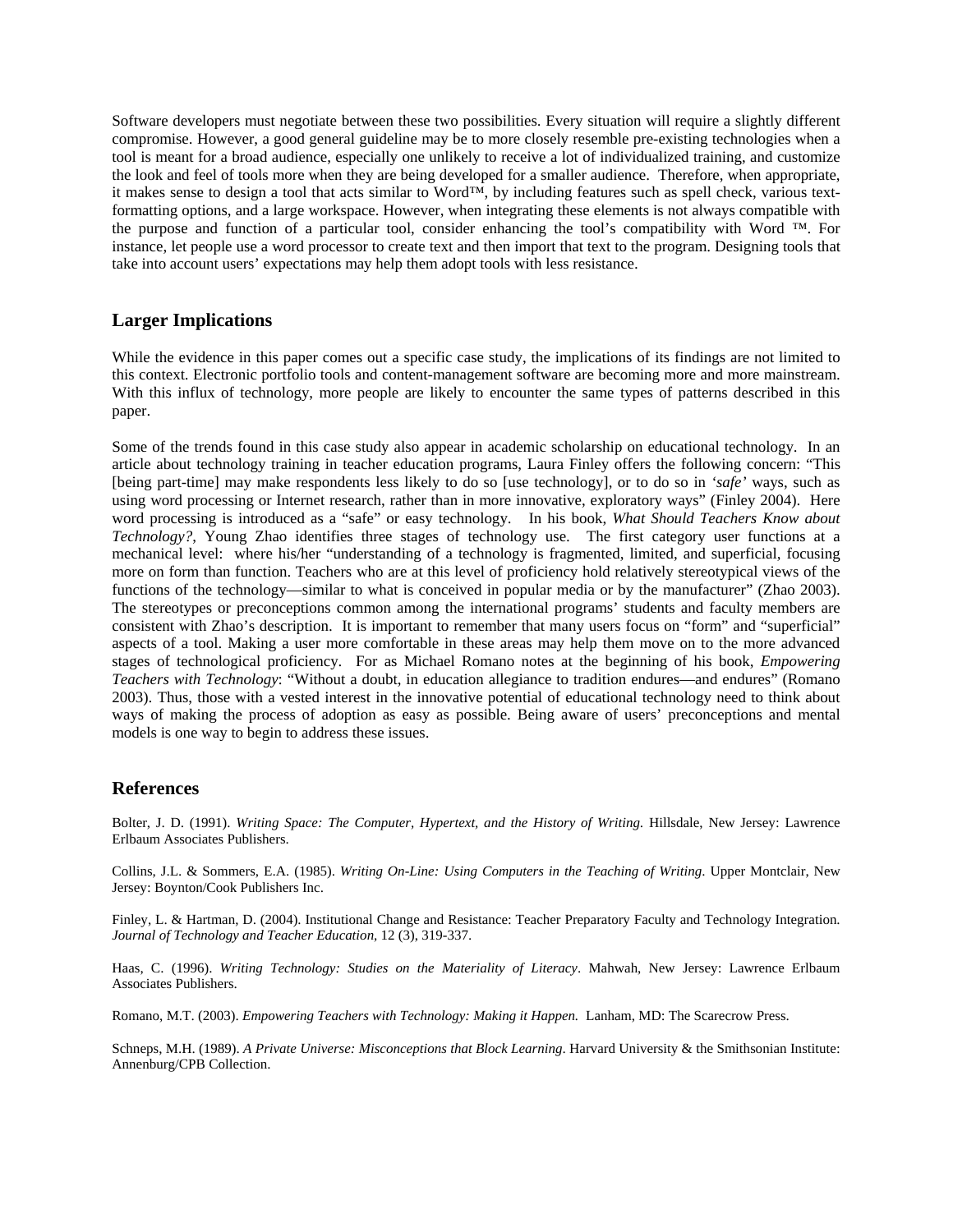Software developers must negotiate between these two possibilities. Every situation will require a slightly different compromise. However, a good general guideline may be to more closely resemble pre-existing technologies when a tool is meant for a broad audience, especially one unlikely to receive a lot of individualized training, and customize the look and feel of tools more when they are being developed for a smaller audience. Therefore, when appropriate, it makes sense to design a tool that acts similar to Word™, by including features such as spell check, various textformatting options, and a large workspace. However, when integrating these elements is not always compatible with the purpose and function of a particular tool, consider enhancing the tool's compatibility with Word ™. For instance, let people use a word processor to create text and then import that text to the program. Designing tools that take into account users' expectations may help them adopt tools with less resistance.

### **Larger Implications**

While the evidence in this paper comes out a specific case study, the implications of its findings are not limited to this context. Electronic portfolio tools and content-management software are becoming more and more mainstream. With this influx of technology, more people are likely to encounter the same types of patterns described in this paper.

Some of the trends found in this case study also appear in academic scholarship on educational technology. In an article about technology training in teacher education programs, Laura Finley offers the following concern: "This [being part-time] may make respondents less likely to do so [use technology], or to do so in *'safe'* ways, such as using word processing or Internet research, rather than in more innovative, exploratory ways" (Finley 2004). Here word processing is introduced as a "safe" or easy technology. In his book, *What Should Teachers Know about Technology?*, Young Zhao identifies three stages of technology use. The first category user functions at a mechanical level: where his/her "understanding of a technology is fragmented, limited, and superficial, focusing more on form than function. Teachers who are at this level of proficiency hold relatively stereotypical views of the functions of the technology—similar to what is conceived in popular media or by the manufacturer" (Zhao 2003). The stereotypes or preconceptions common among the international programs' students and faculty members are consistent with Zhao's description. It is important to remember that many users focus on "form" and "superficial" aspects of a tool. Making a user more comfortable in these areas may help them move on to the more advanced stages of technological proficiency. For as Michael Romano notes at the beginning of his book, *Empowering Teachers with Technology*: "Without a doubt, in education allegiance to tradition endures—and endures" (Romano 2003). Thus, those with a vested interest in the innovative potential of educational technology need to think about ways of making the process of adoption as easy as possible. Being aware of users' preconceptions and mental models is one way to begin to address these issues.

### **References**

Bolter, J. D. (1991). *Writing Space: The Computer, Hypertext, and the History of Writing*. Hillsdale, New Jersey: Lawrence Erlbaum Associates Publishers.

Collins, J.L. & Sommers, E.A. (1985). *Writing On-Line: Using Computers in the Teaching of Writing*. Upper Montclair, New Jersey: Boynton/Cook Publishers Inc.

Finley, L. & Hartman, D. (2004). Institutional Change and Resistance: Teacher Preparatory Faculty and Technology Integration. *Journal of Technology and Teacher Education,* 12 (3), 319-337.

Haas, C. (1996). *Writing Technology: Studies on the Materiality of Literacy*. Mahwah, New Jersey: Lawrence Erlbaum Associates Publishers.

Romano, M.T. (2003). *Empowering Teachers with Technology: Making it Happen.* Lanham, MD: The Scarecrow Press.

Schneps, M.H. (1989). *A Private Universe: Misconceptions that Block Learning*. Harvard University & the Smithsonian Institute: Annenburg/CPB Collection.